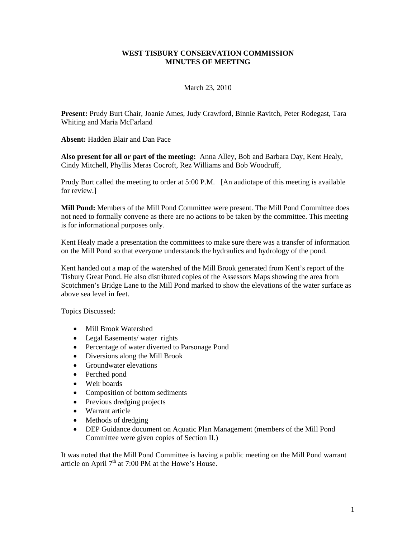## **WEST TISBURY CONSERVATION COMMISSION MINUTES OF MEETING**

## March 23, 2010

**Present:** Prudy Burt Chair, Joanie Ames, Judy Crawford, Binnie Ravitch, Peter Rodegast, Tara Whiting and Maria McFarland

**Absent:** Hadden Blair and Dan Pace

**Also present for all or part of the meeting:** Anna Alley, Bob and Barbara Day, Kent Healy, Cindy Mitchell, Phyllis Meras Cocroft, Rez Williams and Bob Woodruff,

Prudy Burt called the meeting to order at 5:00 P.M. [An audiotape of this meeting is available for review.]

**Mill Pond:** Members of the Mill Pond Committee were present. The Mill Pond Committee does not need to formally convene as there are no actions to be taken by the committee. This meeting is for informational purposes only.

Kent Healy made a presentation the committees to make sure there was a transfer of information on the Mill Pond so that everyone understands the hydraulics and hydrology of the pond.

Kent handed out a map of the watershed of the Mill Brook generated from Kent's report of the Tisbury Great Pond. He also distributed copies of the Assessors Maps showing the area from Scotchmen's Bridge Lane to the Mill Pond marked to show the elevations of the water surface as above sea level in feet.

Topics Discussed:

- Mill Brook Watershed
- Legal Easements/ water rights
- Percentage of water diverted to Parsonage Pond
- Diversions along the Mill Brook
- Groundwater elevations
- Perched pond
- Weir boards
- Composition of bottom sediments
- Previous dredging projects
- Warrant article
- Methods of dredging
- DEP Guidance document on Aquatic Plan Management (members of the Mill Pond Committee were given copies of Section II.)

It was noted that the Mill Pond Committee is having a public meeting on the Mill Pond warrant article on April  $7<sup>th</sup>$  at 7:00 PM at the Howe's House.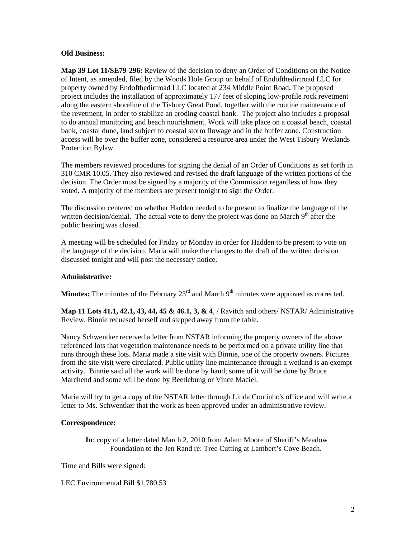## **Old Business:**

**Map 39 Lot 11/SE79-296:** Review of the decision to deny an Order of Conditions on the Notice of Intent, as amended, filed by the Woods Hole Group on behalf of Endofthedirtroad LLC for property owned by Endofthedirtroad LLC located at 234 Middle Point Road**.** The proposed project includes the installation of approximately 177 feet of sloping low-profile rock revetment along the eastern shoreline of the Tisbury Great Pond, together with the routine maintenance of the revetment, in order to stabilize an eroding coastal bank. The project also includes a proposal to do annual monitoring and beach nourishment. Work will take place on a coastal beach, coastal bank, coastal dune, land subject to coastal storm flowage and in the buffer zone. Construction access will be over the buffer zone, considered a resource area under the West Tisbury Wetlands Protection Bylaw.

The members reviewed procedures for signing the denial of an Order of Conditions as set forth in 310 CMR 10.05. They also reviewed and revised the draft language of the written portions of the decision. The Order must be signed by a majority of the Commission regardless of how they voted. A majority of the members are present tonight to sign the Order.

The discussion centered on whether Hadden needed to be present to finalize the language of the written decision/denial. The actual vote to deny the project was done on March  $9<sup>th</sup>$  after the public hearing was closed.

A meeting will be scheduled for Friday or Monday in order for Hadden to be present to vote on the language of the decision. Maria will make the changes to the draft of the written decision discussed tonight and will post the necessary notice.

# **Administrative:**

**Minutes:** The minutes of the February  $23<sup>rd</sup>$  and March  $9<sup>th</sup>$  minutes were approved as corrected.

**Map 11 Lots 41.1, 42.1, 43, 44, 45 & 46.1, 3, & 4**, / Ravitch and others/ NSTAR/ Administrative Review. Binnie recuesed herself and stepped away from the table.

Nancy Schwentker received a letter from NSTAR informing the property owners of the above referenced lots that vegetation maintenance needs to be performed on a private utility line that runs through these lots. Maria made a site visit with Binnie, one of the property owners. Pictures from the site visit were circulated. Public utility line maintenance through a wetland is an exempt activity. Binnie said all the work will be done by hand; some of it will be done by Bruce Marchend and some will be done by Beetlebung or Vince Maciel.

Maria will try to get a copy of the NSTAR letter through Linda Coutinho's office and will write a letter to Ms. Schwentker that the work as been approved under an administrative review.

# **Correspondence:**

**In**: copy of a letter dated March 2, 2010 from Adam Moore of Sheriff's Meadow Foundation to the Jen Rand re: Tree Cutting at Lambert's Cove Beach.

Time and Bills were signed:

LEC Environmental Bill \$1,780.53